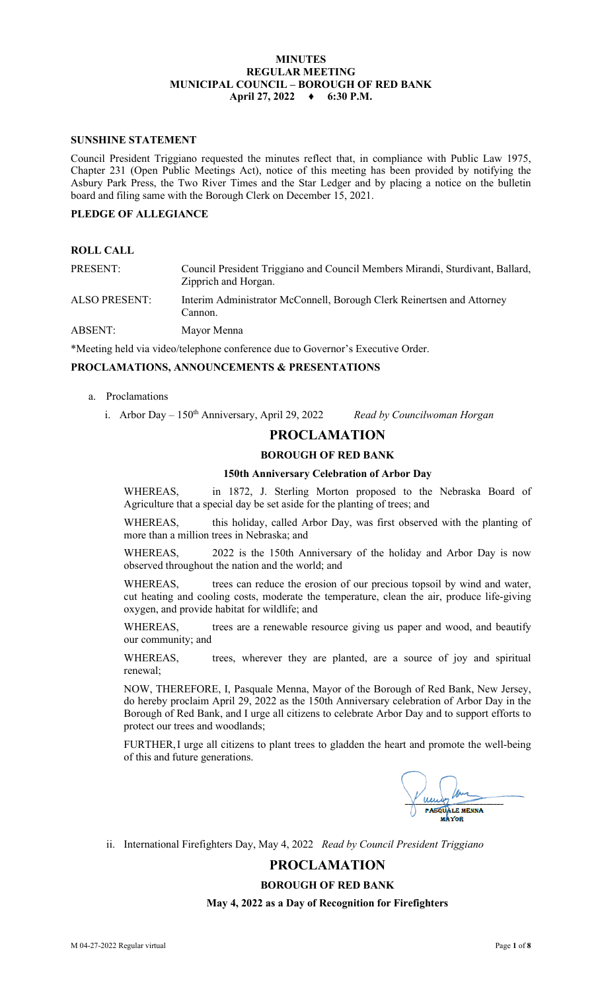# **MINUTES REGULAR MEETING MUNICIPAL COUNCIL – BOROUGH OF RED BANK April 27, 2022 ♦ 6:30 P.M.**

# **SUNSHINE STATEMENT**

Council President Triggiano requested the minutes reflect that, in compliance with Public Law 1975, Chapter 231 (Open Public Meetings Act), notice of this meeting has been provided by notifying the Asbury Park Press, the Two River Times and the Star Ledger and by placing a notice on the bulletin board and filing same with the Borough Clerk on December 15, 2021.

# **PLEDGE OF ALLEGIANCE**

| PRESENT:      | Council President Triggiano and Council Members Mirandi, Sturdivant, Ballard,<br>Zipprich and Horgan. |
|---------------|-------------------------------------------------------------------------------------------------------|
| ALSO PRESENT: | Interim Administrator McConnell, Borough Clerk Reinertsen and Attorney<br>Cannon.                     |
| ABSENT:       | Mayor Menna                                                                                           |

\*Meeting held via video/telephone conference due to Governor's Executive Order.

# **PROCLAMATIONS, ANNOUNCEMENTS & PRESENTATIONS**

- a. Proclamations
	- i. Arbor Day 150<sup>th</sup> Anniversary, April 29, 2022 *Read by Councilwoman Horgan*

# **PROCLAMATION**

# **BOROUGH OF RED BANK**

## **150th Anniversary Celebration of Arbor Day**

WHEREAS, in 1872, J. Sterling Morton proposed to the Nebraska Board of Agriculture that a special day be set aside for the planting of trees; and

WHEREAS, this holiday, called Arbor Day, was first observed with the planting of more than a million trees in Nebraska; and

WHEREAS, 2022 is the 150th Anniversary of the holiday and Arbor Day is now observed throughout the nation and the world; and

WHEREAS, trees can reduce the erosion of our precious topsoil by wind and water, cut heating and cooling costs, moderate the temperature, clean the air, produce life-giving oxygen, and provide habitat for wildlife; and

WHEREAS, trees are a renewable resource giving us paper and wood, and beautify our community; and

WHEREAS, trees, wherever they are planted, are a source of joy and spiritual renewal;

NOW, THEREFORE, I, Pasquale Menna, Mayor of the Borough of Red Bank, New Jersey, do hereby proclaim April 29, 2022 as the 150th Anniversary celebration of Arbor Day in the Borough of Red Bank, and I urge all citizens to celebrate Arbor Day and to support efforts to protect our trees and woodlands;

FURTHER,I urge all citizens to plant trees to gladden the heart and promote the well-being of this and future generations.

**PASOUALE MENNA** 

ii. International Firefighters Day, May 4, 2022 *Read by Council President Triggiano*

# **PROCLAMATION**

# **BOROUGH OF RED BANK**

**May 4, 2022 as a Day of Recognition for Firefighters**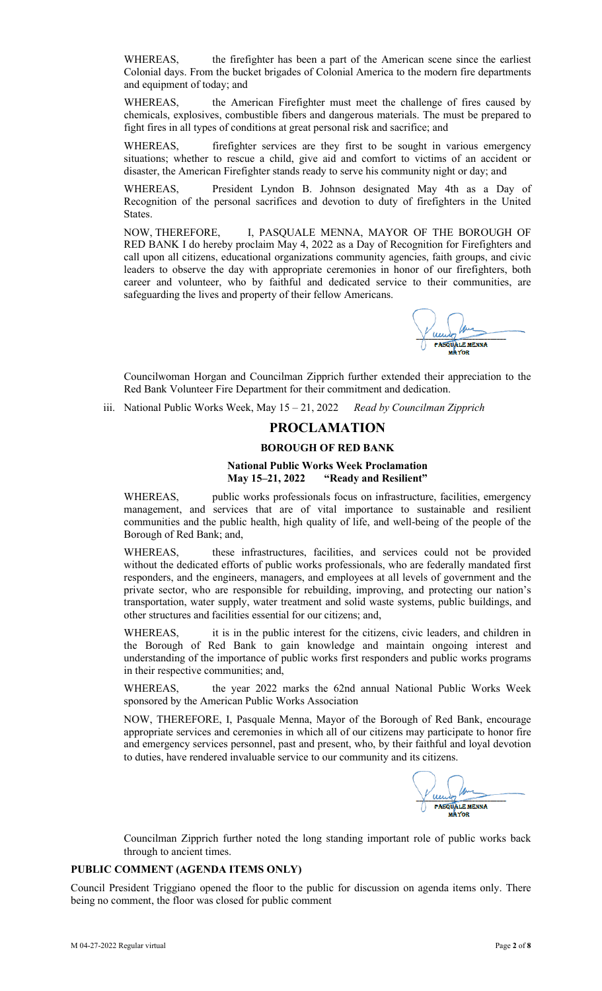WHEREAS, the firefighter has been a part of the American scene since the earliest Colonial days. From the bucket brigades of Colonial America to the modern fire departments and equipment of today; and

WHEREAS, the American Firefighter must meet the challenge of fires caused by chemicals, explosives, combustible fibers and dangerous materials. The must be prepared to fight fires in all types of conditions at great personal risk and sacrifice; and

WHEREAS, firefighter services are they first to be sought in various emergency situations; whether to rescue a child, give aid and comfort to victims of an accident or disaster, the American Firefighter stands ready to serve his community night or day; and

WHEREAS, President Lyndon B. Johnson designated May 4th as a Day of Recognition of the personal sacrifices and devotion to duty of firefighters in the United States.

NOW, THEREFORE, I, PASQUALE MENNA, MAYOR OF THE BOROUGH OF RED BANK I do hereby proclaim May 4, 2022 as a Day of Recognition for Firefighters and call upon all citizens, educational organizations community agencies, faith groups, and civic leaders to observe the day with appropriate ceremonies in honor of our firefighters, both career and volunteer, who by faithful and dedicated service to their communities, are safeguarding the lives and property of their fellow Americans.

**ASQUALE MENNA** 

Councilwoman Horgan and Councilman Zipprich further extended their appreciation to the Red Bank Volunteer Fire Department for their commitment and dedication.

iii. National Public Works Week, May 15 – 21, 2022 *Read by Councilman Zipprich*

# **PROCLAMATION**

### **BOROUGH OF RED BANK**

# **National Public Works Week Proclamation May 15–21, 2022 "Ready and Resilient"**

WHEREAS, public works professionals focus on infrastructure, facilities, emergency management, and services that are of vital importance to sustainable and resilient communities and the public health, high quality of life, and well-being of the people of the Borough of Red Bank; and,

WHEREAS, these infrastructures, facilities, and services could not be provided without the dedicated efforts of public works professionals, who are federally mandated first responders, and the engineers, managers, and employees at all levels of government and the private sector, who are responsible for rebuilding, improving, and protecting our nation's transportation, water supply, water treatment and solid waste systems, public buildings, and other structures and facilities essential for our citizens; and,

WHEREAS, it is in the public interest for the citizens, civic leaders, and children in the Borough of Red Bank to gain knowledge and maintain ongoing interest and understanding of the importance of public works first responders and public works programs in their respective communities; and,

WHEREAS, the year 2022 marks the 62nd annual National Public Works Week sponsored by the American Public Works Association

NOW, THEREFORE, I, Pasquale Menna, Mayor of the Borough of Red Bank, encourage appropriate services and ceremonies in which all of our citizens may participate to honor fire and emergency services personnel, past and present, who, by their faithful and loyal devotion to duties, have rendered invaluable service to our community and its citizens.

**PASOUALE MENNA** 

Councilman Zipprich further noted the long standing important role of public works back through to ancient times.

# **PUBLIC COMMENT (AGENDA ITEMS ONLY)**

Council President Triggiano opened the floor to the public for discussion on agenda items only. There being no comment, the floor was closed for public comment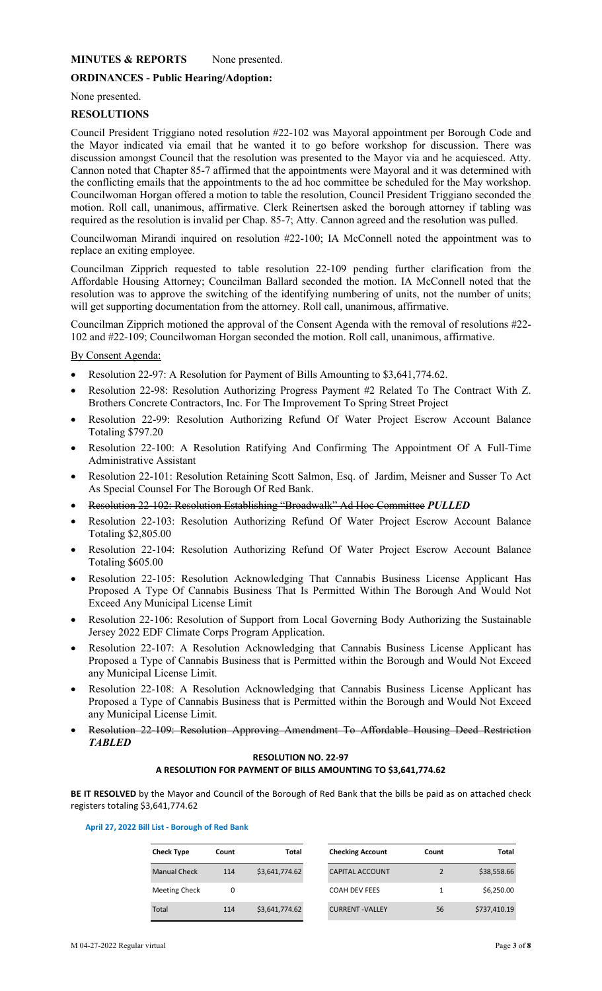# **MINUTES & REPORTS** None presented.

# **ORDINANCES - Public Hearing/Adoption:**

None presented.

# **RESOLUTIONS**

Council President Triggiano noted resolution #22-102 was Mayoral appointment per Borough Code and the Mayor indicated via email that he wanted it to go before workshop for discussion. There was discussion amongst Council that the resolution was presented to the Mayor via and he acquiesced. Atty. Cannon noted that Chapter 85-7 affirmed that the appointments were Mayoral and it was determined with the conflicting emails that the appointments to the ad hoc committee be scheduled for the May workshop. Councilwoman Horgan offered a motion to table the resolution, Council President Triggiano seconded the motion. Roll call, unanimous, affirmative. Clerk Reinertsen asked the borough attorney if tabling was required as the resolution is invalid per Chap. 85-7; Atty. Cannon agreed and the resolution was pulled.

Councilwoman Mirandi inquired on resolution #22-100; IA McConnell noted the appointment was to replace an exiting employee.

Councilman Zipprich requested to table resolution 22-109 pending further clarification from the Affordable Housing Attorney; Councilman Ballard seconded the motion. IA McConnell noted that the resolution was to approve the switching of the identifying numbering of units, not the number of units; will get supporting documentation from the attorney. Roll call, unanimous, affirmative.

Councilman Zipprich motioned the approval of the Consent Agenda with the removal of resolutions #22- 102 and #22-109; Councilwoman Horgan seconded the motion. Roll call, unanimous, affirmative.

By Consent Agenda:

- Resolution 22-97: A Resolution for Payment of Bills Amounting to \$3,641,774.62.
- Resolution 22-98: Resolution Authorizing Progress Payment #2 Related To The Contract With Z. Brothers Concrete Contractors, Inc. For The Improvement To Spring Street Project
- Resolution 22-99: Resolution Authorizing Refund Of Water Project Escrow Account Balance Totaling \$797.20
- Resolution 22-100: A Resolution Ratifying And Confirming The Appointment Of A Full-Time Administrative Assistant
- Resolution 22-101: Resolution Retaining Scott Salmon, Esq. of Jardim, Meisner and Susser To Act As Special Counsel For The Borough Of Red Bank.
- Resolution 22-102: Resolution Establishing "Broadwalk" Ad Hoc Committee *PULLED*
- Resolution 22-103: Resolution Authorizing Refund Of Water Project Escrow Account Balance Totaling \$2,805.00
- Resolution 22-104: Resolution Authorizing Refund Of Water Project Escrow Account Balance Totaling \$605.00
- Resolution 22-105: Resolution Acknowledging That Cannabis Business License Applicant Has Proposed A Type Of Cannabis Business That Is Permitted Within The Borough And Would Not Exceed Any Municipal License Limit
- Resolution 22-106: Resolution of Support from Local Governing Body Authorizing the Sustainable Jersey 2022 EDF Climate Corps Program Application.
- Resolution 22-107: A Resolution Acknowledging that Cannabis Business License Applicant has Proposed a Type of Cannabis Business that is Permitted within the Borough and Would Not Exceed any Municipal License Limit.
- Resolution 22-108: A Resolution Acknowledging that Cannabis Business License Applicant has Proposed a Type of Cannabis Business that is Permitted within the Borough and Would Not Exceed any Municipal License Limit.
- Resolution 22-109: Resolution Approving Amendment To Affordable Housing Deed Restriction *TABLED*

## **RESOLUTION NO. 22-97 A RESOLUTION FOR PAYMENT OF BILLS AMOUNTING TO \$3,641,774.62**

**BE IT RESOLVED** by the Mayor and Council of the Borough of Red Bank that the bills be paid as on attached check registers totaling \$3,641,774.62

|  |  |  | April 27, 2022 Bill List - Borough of Red Bank |  |  |
|--|--|--|------------------------------------------------|--|--|
|--|--|--|------------------------------------------------|--|--|

| <b>Check Type</b>    | <b>Count</b> | Total          | <b>Checking Account</b> | Count | Total        |
|----------------------|--------------|----------------|-------------------------|-------|--------------|
| <b>Manual Check</b>  | 114          | \$3,641,774.62 | <b>CAPITAL ACCOUNT</b>  |       | \$38,558.66  |
| <b>Meeting Check</b> | 0            |                | <b>COAH DEV FEES</b>    |       | \$6.250.00   |
| Total                | 114          | \$3,641,774.62 | <b>CURRENT-VALLEY</b>   | 56    | \$737,410.19 |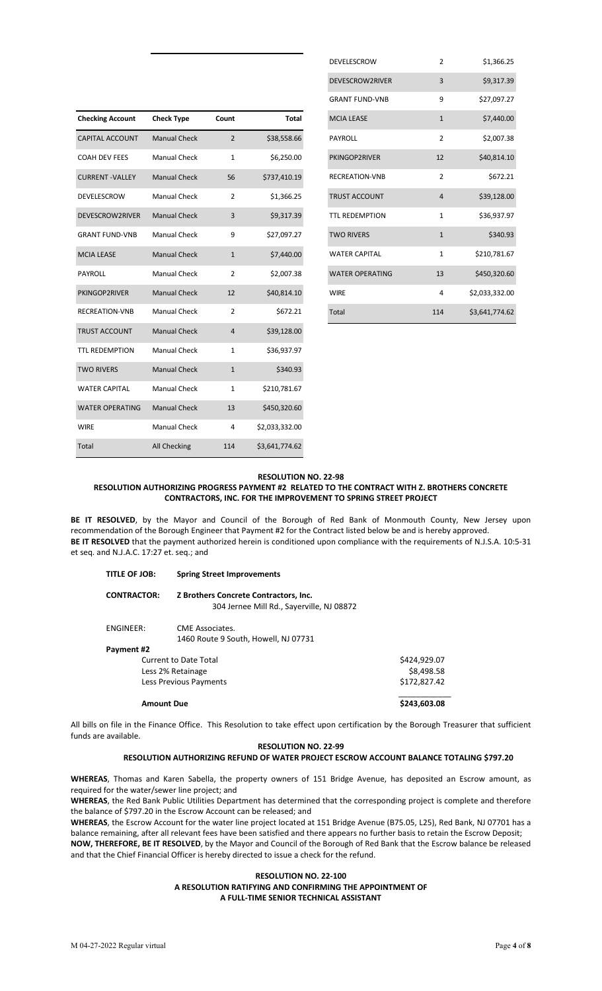|                         |                     |                |                | <b>URAINI FUND-VIVB</b> |                | 727,UY7.Z7     |
|-------------------------|---------------------|----------------|----------------|-------------------------|----------------|----------------|
| <b>Checking Account</b> | <b>Check Type</b>   | Count          | <b>Total</b>   | <b>MCIA LEASE</b>       | $\mathbf{1}$   | \$7,440.00     |
| <b>CAPITAL ACCOUNT</b>  | <b>Manual Check</b> | $\overline{2}$ | \$38,558.66    | PAYROLL                 | $\overline{2}$ | \$2,007.38     |
| <b>COAH DEV FEES</b>    | <b>Manual Check</b> | $\mathbf{1}$   | \$6,250.00     | PKINGOP2RIVER           | 12             | \$40,814.10    |
| <b>CURRENT-VALLEY</b>   | <b>Manual Check</b> | 56             | \$737,410.19   | <b>RECREATION-VNB</b>   | 2              | \$672.21       |
| DEVELESCROW             | Manual Check        | 2              | \$1,366.25     | <b>TRUST ACCOUNT</b>    | 4              | \$39,128.00    |
| DEVESCROW2RIVER         | <b>Manual Check</b> | 3              | \$9,317.39     | <b>TTL REDEMPTION</b>   | 1              | \$36,937.97    |
| <b>GRANT FUND-VNB</b>   | <b>Manual Check</b> | 9              | \$27,097.27    | <b>TWO RIVERS</b>       | $\mathbf{1}$   | \$340.93       |
| <b>MCIA LEASE</b>       | <b>Manual Check</b> | $\mathbf{1}$   | \$7,440.00     | <b>WATER CAPITAL</b>    | 1              | \$210,781.67   |
| PAYROLL                 | Manual Check        | $\overline{2}$ | \$2,007.38     | <b>WATER OPERATING</b>  | 13             | \$450,320.60   |
| PKINGOP2RIVER           | <b>Manual Check</b> | 12             | \$40,814.10    | <b>WIRE</b>             | $\overline{4}$ | \$2,033,332.00 |
| RECREATION-VNB          | <b>Manual Check</b> | $\overline{2}$ | \$672.21       | Total                   | 114            | \$3,641,774.62 |
| TRUST ACCOUNT           | <b>Manual Check</b> | 4              | \$39,128.00    |                         |                |                |
| <b>TTL REDEMPTION</b>   | <b>Manual Check</b> | $\mathbf{1}$   | \$36,937.97    |                         |                |                |
| <b>TWO RIVERS</b>       | <b>Manual Check</b> | $\mathbf{1}$   | \$340.93       |                         |                |                |
| <b>WATER CAPITAL</b>    | Manual Check        | $\mathbf{1}$   | \$210,781.67   |                         |                |                |
| <b>WATER OPERATING</b>  | <b>Manual Check</b> | 13             | \$450,320.60   |                         |                |                |
| <b>WIRE</b>             | Manual Check        | 4              | \$2,033,332.00 |                         |                |                |
| Total                   | All Checking        | 114            | \$3,641,774.62 |                         |                |                |

| <b>DEVELESCROW</b>     | $\overline{2}$ | \$1,366.25     |
|------------------------|----------------|----------------|
| DEVESCROW2RIVER        | 3              | \$9,317.39     |
| <b>GRANT FUND-VNB</b>  | 9              | \$27,097.27    |
| <b>MCIA LEASE</b>      | $\mathbf{1}$   | \$7,440.00     |
| <b>PAYROLL</b>         | $\overline{2}$ | \$2,007.38     |
| PKINGOP2RIVER          | 12             | \$40,814.10    |
| <b>RECREATION-VNB</b>  | $\mathfrak{p}$ | \$672.21       |
| <b>TRUST ACCOUNT</b>   | $\overline{4}$ | \$39,128.00    |
| <b>TTL REDEMPTION</b>  | 1              | \$36,937.97    |
| <b>TWO RIVERS</b>      | $\mathbf{1}$   | \$340.93       |
| <b>WATER CAPITAL</b>   | 1              | \$210,781.67   |
| <b>WATER OPERATING</b> | 13             | \$450,320.60   |
| <b>WIRE</b>            | 4              | \$2,033,332.00 |
| Total                  | 114            | \$3,641,774.62 |

#### **RESOLUTION NO. 22-98 RESOLUTION AUTHORIZING PROGRESS PAYMENT #2 RELATED TO THE CONTRACT WITH Z. BROTHERS CONCRETE CONTRACTORS, INC. FOR THE IMPROVEMENT TO SPRING STREET PROJECT**

**BE IT RESOLVED**, by the Mayor and Council of the Borough of Red Bank of Monmouth County, New Jersey upon recommendation of the Borough Engineer that Payment #2 for the Contract listed below be and is hereby approved. **BE IT RESOLVED** that the payment authorized herein is conditioned upon compliance with the requirements of N.J.S.A. 10:5-31 et seq. and N.J.A.C. 17:27 et. seq.; and

| TITLE OF JOB:          | <b>Spring Street Improvements</b>                                                  |              |
|------------------------|------------------------------------------------------------------------------------|--------------|
| <b>CONTRACTOR:</b>     | Z Brothers Concrete Contractors, Inc.<br>304 Jernee Mill Rd., Sayerville, NJ 08872 |              |
| <b>ENGINEER:</b>       | CME Associates.<br>1460 Route 9 South, Howell, NJ 07731                            |              |
| Payment #2             |                                                                                    |              |
| Current to Date Total  |                                                                                    | \$424,929.07 |
| Less 2% Retainage      | \$8,498.58                                                                         |              |
| Less Previous Payments | \$172,827.42                                                                       |              |
| <b>Amount Due</b>      |                                                                                    | \$243,603.08 |

All bills on file in the Finance Office. This Resolution to take effect upon certification by the Borough Treasurer that sufficient funds are available.

#### **RESOLUTION NO. 22-99 RESOLUTION AUTHORIZING REFUND OF WATER PROJECT ESCROW ACCOUNT BALANCE TOTALING \$797.20**

**WHEREAS**, Thomas and Karen Sabella, the property owners of 151 Bridge Avenue, has deposited an Escrow amount, as required for the water/sewer line project; and

**WHEREAS**, the Red Bank Public Utilities Department has determined that the corresponding project is complete and therefore the balance of \$797.20 in the Escrow Account can be released; and

**WHEREAS**, the Escrow Account for the water line project located at 151 Bridge Avenue (B75.05, L25), Red Bank, NJ 07701 has a balance remaining, after all relevant fees have been satisfied and there appears no further basis to retain the Escrow Deposit; **NOW, THEREFORE, BE IT RESOLVED**, by the Mayor and Council of the Borough of Red Bank that the Escrow balance be released and that the Chief Financial Officer is hereby directed to issue a check for the refund.

### **RESOLUTION NO. 22-100 A RESOLUTION RATIFYING AND CONFIRMING THE APPOINTMENT OF A FULL-TIME SENIOR TECHNICAL ASSISTANT**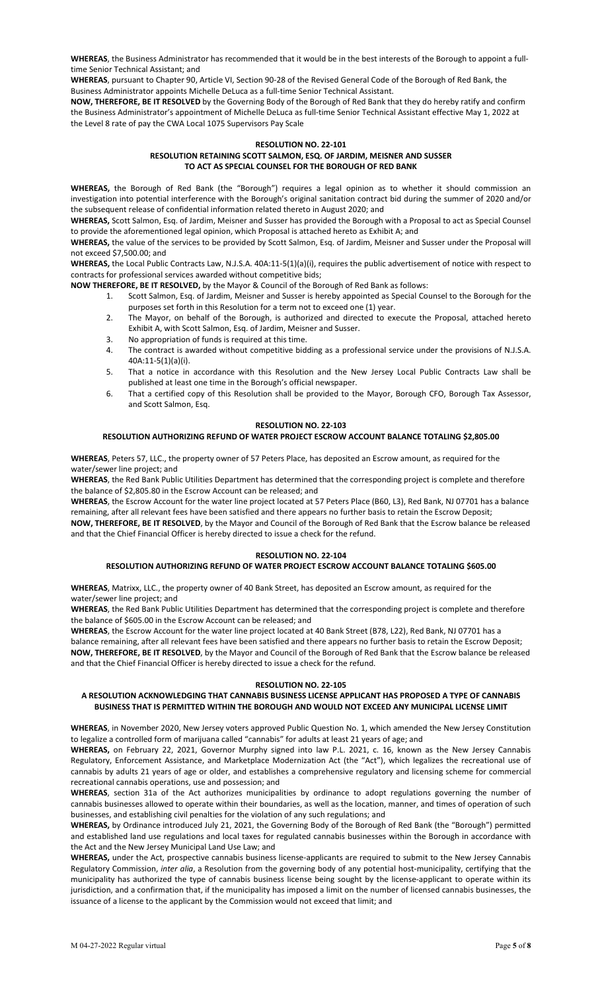**WHEREAS**, the Business Administrator has recommended that it would be in the best interests of the Borough to appoint a fulltime Senior Technical Assistant; and

**WHEREAS**, pursuant to Chapter 90, Article VI, Section 90-28 of the Revised General Code of the Borough of Red Bank, the Business Administrator appoints Michelle DeLuca as a full-time Senior Technical Assistant.

**NOW, THEREFORE, BE IT RESOLVED** by the Governing Body of the Borough of Red Bank that they do hereby ratify and confirm the Business Administrator's appointment of Michelle DeLuca as full-time Senior Technical Assistant effective May 1, 2022 at the Level 8 rate of pay the CWA Local 1075 Supervisors Pay Scale

#### **RESOLUTION NO. 22-101 RESOLUTION RETAINING SCOTT SALMON, ESQ. OF JARDIM, MEISNER AND SUSSER TO ACT AS SPECIAL COUNSEL FOR THE BOROUGH OF RED BANK**

**WHEREAS,** the Borough of Red Bank (the "Borough") requires a legal opinion as to whether it should commission an investigation into potential interference with the Borough's original sanitation contract bid during the summer of 2020 and/or the subsequent release of confidential information related thereto in August 2020; and

**WHEREAS,** Scott Salmon, Esq. of Jardim, Meisner and Susser has provided the Borough with a Proposal to act as Special Counsel to provide the aforementioned legal opinion, which Proposal is attached hereto as Exhibit A; and

**WHEREAS,** the value of the services to be provided by Scott Salmon, Esq. of Jardim, Meisner and Susser under the Proposal will not exceed \$7,500.00; and

**WHEREAS,** the Local Public Contracts Law, N.J.S.A. 40A:11-5(1)(a)(i), requires the public advertisement of notice with respect to contracts for professional services awarded without competitive bids;

**NOW THEREFORE, BE IT RESOLVED,** by the Mayor & Council of the Borough of Red Bank as follows:

- 1. Scott Salmon, Esq. of Jardim, Meisner and Susser is hereby appointed as Special Counsel to the Borough for the purposes set forth in this Resolution for a term not to exceed one (1) year.
- 2. The Mayor, on behalf of the Borough, is authorized and directed to execute the Proposal, attached hereto Exhibit A, with Scott Salmon, Esq. of Jardim, Meisner and Susser.
- 3. No appropriation of funds is required at this time.
- 4. The contract is awarded without competitive bidding as a professional service under the provisions of N.J.S.A. 40A:11-5(1)(a)(i).
- 5. That a notice in accordance with this Resolution and the New Jersey Local Public Contracts Law shall be published at least one time in the Borough's official newspaper.
- 6. That a certified copy of this Resolution shall be provided to the Mayor, Borough CFO, Borough Tax Assessor, and Scott Salmon, Esq.

#### **RESOLUTION NO. 22-103**

# **RESOLUTION AUTHORIZING REFUND OF WATER PROJECT ESCROW ACCOUNT BALANCE TOTALING \$2,805.00**

**WHEREAS**, Peters 57, LLC., the property owner of 57 Peters Place, has deposited an Escrow amount, as required for the water/sewer line project; and

**WHEREAS**, the Red Bank Public Utilities Department has determined that the corresponding project is complete and therefore the balance of \$2,805.80 in the Escrow Account can be released; and

**WHEREAS**, the Escrow Account for the water line project located at 57 Peters Place (B60, L3), Red Bank, NJ 07701 has a balance remaining, after all relevant fees have been satisfied and there appears no further basis to retain the Escrow Deposit; **NOW, THEREFORE, BE IT RESOLVED**, by the Mayor and Council of the Borough of Red Bank that the Escrow balance be released and that the Chief Financial Officer is hereby directed to issue a check for the refund.

### **RESOLUTION NO. 22-104**

# **RESOLUTION AUTHORIZING REFUND OF WATER PROJECT ESCROW ACCOUNT BALANCE TOTALING \$605.00**

**WHEREAS**, Matrixx, LLC., the property owner of 40 Bank Street, has deposited an Escrow amount, as required for the water/sewer line project; and

**WHEREAS**, the Red Bank Public Utilities Department has determined that the corresponding project is complete and therefore the balance of \$605.00 in the Escrow Account can be released; and

**WHEREAS**, the Escrow Account for the water line project located at 40 Bank Street (B78, L22), Red Bank, NJ 07701 has a balance remaining, after all relevant fees have been satisfied and there appears no further basis to retain the Escrow Deposit; **NOW, THEREFORE, BE IT RESOLVED**, by the Mayor and Council of the Borough of Red Bank that the Escrow balance be released and that the Chief Financial Officer is hereby directed to issue a check for the refund.

#### **RESOLUTION NO. 22-105**

### **A RESOLUTION ACKNOWLEDGING THAT CANNABIS BUSINESS LICENSE APPLICANT HAS PROPOSED A TYPE OF CANNABIS BUSINESS THAT IS PERMITTED WITHIN THE BOROUGH AND WOULD NOT EXCEED ANY MUNICIPAL LICENSE LIMIT**

**WHEREAS**, in November 2020, New Jersey voters approved Public Question No. 1, which amended the New Jersey Constitution to legalize a controlled form of marijuana called "cannabis" for adults at least 21 years of age; and

**WHEREAS,** on February 22, 2021, Governor Murphy signed into law P.L. 2021, c. 16, known as the New Jersey Cannabis Regulatory, Enforcement Assistance, and Marketplace Modernization Act (the "Act"), which legalizes the recreational use of cannabis by adults 21 years of age or older, and establishes a comprehensive regulatory and licensing scheme for commercial recreational cannabis operations, use and possession; and

**WHEREAS**, section 31a of the Act authorizes municipalities by ordinance to adopt regulations governing the number of cannabis businesses allowed to operate within their boundaries, as well as the location, manner, and times of operation of such businesses, and establishing civil penalties for the violation of any such regulations; and

**WHEREAS,** by Ordinance introduced July 21, 2021, the Governing Body of the Borough of Red Bank (the "Borough") permitted and established land use regulations and local taxes for regulated cannabis businesses within the Borough in accordance with the Act and the New Jersey Municipal Land Use Law; and

**WHEREAS,** under the Act, prospective cannabis business license-applicants are required to submit to the New Jersey Cannabis Regulatory Commission, *inter alia*, a Resolution from the governing body of any potential host-municipality, certifying that the municipality has authorized the type of cannabis business license being sought by the license-applicant to operate within its jurisdiction, and a confirmation that, if the municipality has imposed a limit on the number of licensed cannabis businesses, the issuance of a license to the applicant by the Commission would not exceed that limit; and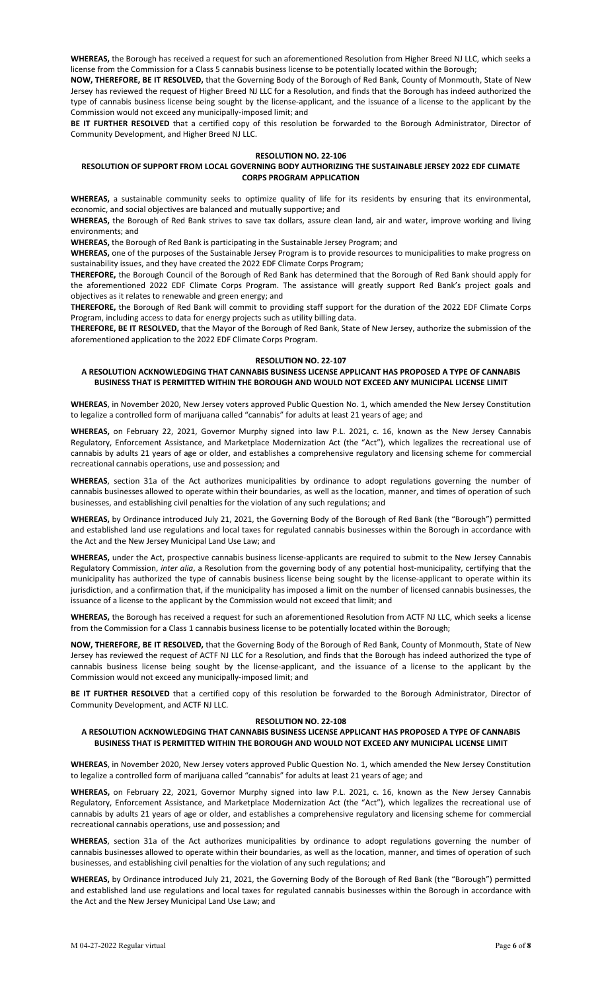**WHEREAS,** the Borough has received a request for such an aforementioned Resolution from Higher Breed NJ LLC, which seeks a license from the Commission for a Class 5 cannabis business license to be potentially located within the Borough;

**NOW, THEREFORE, BE IT RESOLVED,** that the Governing Body of the Borough of Red Bank, County of Monmouth, State of New Jersey has reviewed the request of Higher Breed NJ LLC for a Resolution, and finds that the Borough has indeed authorized the type of cannabis business license being sought by the license-applicant, and the issuance of a license to the applicant by the Commission would not exceed any municipally-imposed limit; and

**BE IT FURTHER RESOLVED** that a certified copy of this resolution be forwarded to the Borough Administrator, Director of Community Development, and Higher Breed NJ LLC.

#### **RESOLUTION NO. 22-106**

# **RESOLUTION OF SUPPORT FROM LOCAL GOVERNING BODY AUTHORIZING THE SUSTAINABLE JERSEY 2022 EDF CLIMATE CORPS PROGRAM APPLICATION**

**WHEREAS,** a sustainable community seeks to optimize quality of life for its residents by ensuring that its environmental, economic, and social objectives are balanced and mutually supportive; and

**WHEREAS,** the Borough of Red Bank strives to save tax dollars, assure clean land, air and water, improve working and living environments; and

**WHEREAS,** the Borough of Red Bank is participating in the Sustainable Jersey Program; and

**WHEREAS,** one of the purposes of the Sustainable Jersey Program is to provide resources to municipalities to make progress on sustainability issues, and they have created the 2022 EDF Climate Corps Program;

**THEREFORE,** the Borough Council of the Borough of Red Bank has determined that the Borough of Red Bank should apply for the aforementioned 2022 EDF Climate Corps Program. The assistance will greatly support Red Bank's project goals and objectives as it relates to renewable and green energy; and

**THEREFORE,** the Borough of Red Bank will commit to providing staff support for the duration of the 2022 EDF Climate Corps Program, including access to data for energy projects such as utility billing data.

**THEREFORE, BE IT RESOLVED,** that the Mayor of the Borough of Red Bank, State of New Jersey, authorize the submission of the aforementioned application to the 2022 EDF Climate Corps Program.

#### **RESOLUTION NO. 22-107**

# **A RESOLUTION ACKNOWLEDGING THAT CANNABIS BUSINESS LICENSE APPLICANT HAS PROPOSED A TYPE OF CANNABIS BUSINESS THAT IS PERMITTED WITHIN THE BOROUGH AND WOULD NOT EXCEED ANY MUNICIPAL LICENSE LIMIT**

**WHEREAS**, in November 2020, New Jersey voters approved Public Question No. 1, which amended the New Jersey Constitution to legalize a controlled form of marijuana called "cannabis" for adults at least 21 years of age; and

**WHEREAS,** on February 22, 2021, Governor Murphy signed into law P.L. 2021, c. 16, known as the New Jersey Cannabis Regulatory, Enforcement Assistance, and Marketplace Modernization Act (the "Act"), which legalizes the recreational use of cannabis by adults 21 years of age or older, and establishes a comprehensive regulatory and licensing scheme for commercial recreational cannabis operations, use and possession; and

**WHEREAS**, section 31a of the Act authorizes municipalities by ordinance to adopt regulations governing the number of cannabis businesses allowed to operate within their boundaries, as well as the location, manner, and times of operation of such businesses, and establishing civil penalties for the violation of any such regulations; and

**WHEREAS,** by Ordinance introduced July 21, 2021, the Governing Body of the Borough of Red Bank (the "Borough") permitted and established land use regulations and local taxes for regulated cannabis businesses within the Borough in accordance with the Act and the New Jersey Municipal Land Use Law; and

**WHEREAS,** under the Act, prospective cannabis business license-applicants are required to submit to the New Jersey Cannabis Regulatory Commission, *inter alia*, a Resolution from the governing body of any potential host-municipality, certifying that the municipality has authorized the type of cannabis business license being sought by the license-applicant to operate within its jurisdiction, and a confirmation that, if the municipality has imposed a limit on the number of licensed cannabis businesses, the issuance of a license to the applicant by the Commission would not exceed that limit; and

**WHEREAS,** the Borough has received a request for such an aforementioned Resolution from ACTF NJ LLC, which seeks a license from the Commission for a Class 1 cannabis business license to be potentially located within the Borough;

**NOW, THEREFORE, BE IT RESOLVED,** that the Governing Body of the Borough of Red Bank, County of Monmouth, State of New Jersey has reviewed the request of ACTF NJ LLC for a Resolution, and finds that the Borough has indeed authorized the type of cannabis business license being sought by the license-applicant, and the issuance of a license to the applicant by the Commission would not exceed any municipally-imposed limit; and

**BE IT FURTHER RESOLVED** that a certified copy of this resolution be forwarded to the Borough Administrator, Director of Community Development, and ACTF NJ LLC.

#### **RESOLUTION NO. 22-108**

#### **A RESOLUTION ACKNOWLEDGING THAT CANNABIS BUSINESS LICENSE APPLICANT HAS PROPOSED A TYPE OF CANNABIS BUSINESS THAT IS PERMITTED WITHIN THE BOROUGH AND WOULD NOT EXCEED ANY MUNICIPAL LICENSE LIMIT**

**WHEREAS**, in November 2020, New Jersey voters approved Public Question No. 1, which amended the New Jersey Constitution to legalize a controlled form of marijuana called "cannabis" for adults at least 21 years of age; and

**WHEREAS,** on February 22, 2021, Governor Murphy signed into law P.L. 2021, c. 16, known as the New Jersey Cannabis Regulatory, Enforcement Assistance, and Marketplace Modernization Act (the "Act"), which legalizes the recreational use of cannabis by adults 21 years of age or older, and establishes a comprehensive regulatory and licensing scheme for commercial recreational cannabis operations, use and possession; and

**WHEREAS**, section 31a of the Act authorizes municipalities by ordinance to adopt regulations governing the number of cannabis businesses allowed to operate within their boundaries, as well as the location, manner, and times of operation of such businesses, and establishing civil penalties for the violation of any such regulations; and

**WHEREAS,** by Ordinance introduced July 21, 2021, the Governing Body of the Borough of Red Bank (the "Borough") permitted and established land use regulations and local taxes for regulated cannabis businesses within the Borough in accordance with the Act and the New Jersey Municipal Land Use Law; and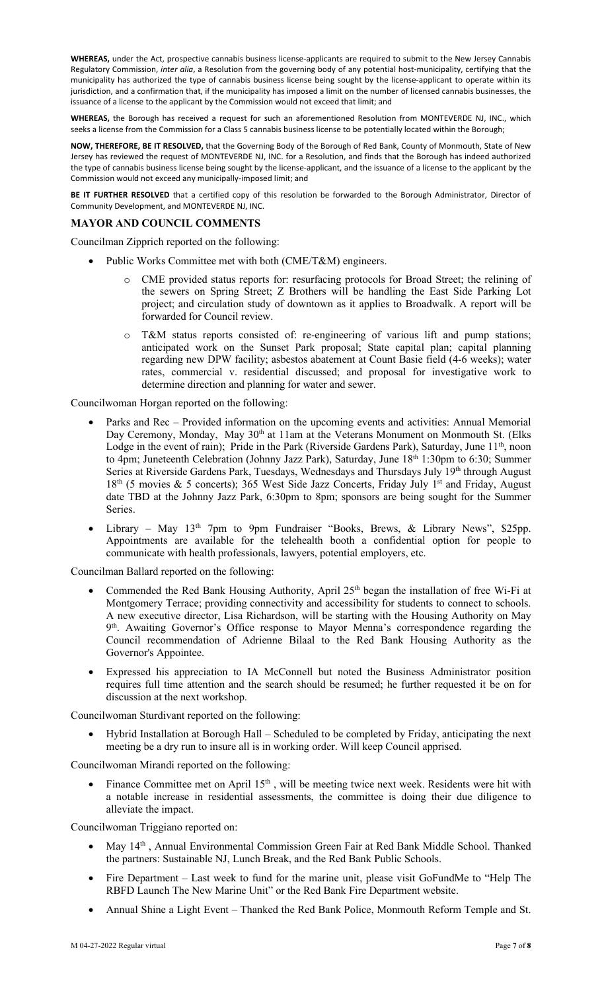**WHEREAS,** under the Act, prospective cannabis business license-applicants are required to submit to the New Jersey Cannabis Regulatory Commission, *inter alia*, a Resolution from the governing body of any potential host-municipality, certifying that the municipality has authorized the type of cannabis business license being sought by the license-applicant to operate within its jurisdiction, and a confirmation that, if the municipality has imposed a limit on the number of licensed cannabis businesses, the issuance of a license to the applicant by the Commission would not exceed that limit; and

**WHEREAS,** the Borough has received a request for such an aforementioned Resolution from MONTEVERDE NJ, INC., which seeks a license from the Commission for a Class 5 cannabis business license to be potentially located within the Borough;

**NOW, THEREFORE, BE IT RESOLVED,** that the Governing Body of the Borough of Red Bank, County of Monmouth, State of New Jersey has reviewed the request of MONTEVERDE NJ, INC. for a Resolution, and finds that the Borough has indeed authorized the type of cannabis business license being sought by the license-applicant, and the issuance of a license to the applicant by the Commission would not exceed any municipally-imposed limit; and

**BE IT FURTHER RESOLVED** that a certified copy of this resolution be forwarded to the Borough Administrator, Director of Community Development, and MONTEVERDE NJ, INC.

# **MAYOR AND COUNCIL COMMENTS**

Councilman Zipprich reported on the following:

- Public Works Committee met with both (CME/T&M) engineers.
	- o CME provided status reports for: resurfacing protocols for Broad Street; the relining of the sewers on Spring Street; Z Brothers will be handling the East Side Parking Lot project; and circulation study of downtown as it applies to Broadwalk. A report will be forwarded for Council review.
	- o T&M status reports consisted of: re-engineering of various lift and pump stations; anticipated work on the Sunset Park proposal; State capital plan; capital planning regarding new DPW facility; asbestos abatement at Count Basie field (4-6 weeks); water rates, commercial v. residential discussed; and proposal for investigative work to determine direction and planning for water and sewer.

Councilwoman Horgan reported on the following:

- Parks and Rec Provided information on the upcoming events and activities: Annual Memorial Day Ceremony, Monday, May 30<sup>th</sup> at 11am at the Veterans Monument on Monmouth St. (Elks Lodge in the event of rain); Pride in the Park (Riverside Gardens Park), Saturday, June 11<sup>th</sup>, noon to 4pm; Juneteenth Celebration (Johnny Jazz Park), Saturday, June 18<sup>th</sup> 1:30pm to 6:30; Summer Series at Riverside Gardens Park, Tuesdays, Wednesdays and Thursdays July 19th through August 18<sup>th</sup> (5 movies & 5 concerts); 365 West Side Jazz Concerts, Friday July 1<sup>st</sup> and Friday, August date TBD at the Johnny Jazz Park, 6:30pm to 8pm; sponsors are being sought for the Summer Series.
- Library May 13<sup>th</sup> 7pm to 9pm Fundraiser "Books, Brews, & Library News", \$25pp. Appointments are available for the telehealth booth a confidential option for people to communicate with health professionals, lawyers, potential employers, etc.

Councilman Ballard reported on the following:

- Commended the Red Bank Housing Authority, April 25<sup>th</sup> began the installation of free Wi-Fi at Montgomery Terrace; providing connectivity and accessibility for students to connect to schools. A new executive director, Lisa Richardson, will be starting with the Housing Authority on May 9<sup>th</sup>. Awaiting Governor's Office response to Mayor Menna's correspondence regarding the Council recommendation of Adrienne Bilaal to the Red Bank Housing Authority as the Governor's Appointee.
- Expressed his appreciation to IA McConnell but noted the Business Administrator position requires full time attention and the search should be resumed; he further requested it be on for discussion at the next workshop.

Councilwoman Sturdivant reported on the following:

• Hybrid Installation at Borough Hall – Scheduled to be completed by Friday, anticipating the next meeting be a dry run to insure all is in working order. Will keep Council apprised.

Councilwoman Mirandi reported on the following:

Finance Committee met on April 15<sup>th</sup>, will be meeting twice next week. Residents were hit with a notable increase in residential assessments, the committee is doing their due diligence to alleviate the impact.

Councilwoman Triggiano reported on:

- May 14<sup>th</sup>, Annual Environmental Commission Green Fair at Red Bank Middle School. Thanked the partners: Sustainable NJ, Lunch Break, and the Red Bank Public Schools.
- Fire Department Last week to fund for the marine unit, please visit GoFundMe to "Help The RBFD Launch The New Marine Unit" or the Red Bank Fire Department website.
- Annual Shine a Light Event Thanked the Red Bank Police, Monmouth Reform Temple and St.